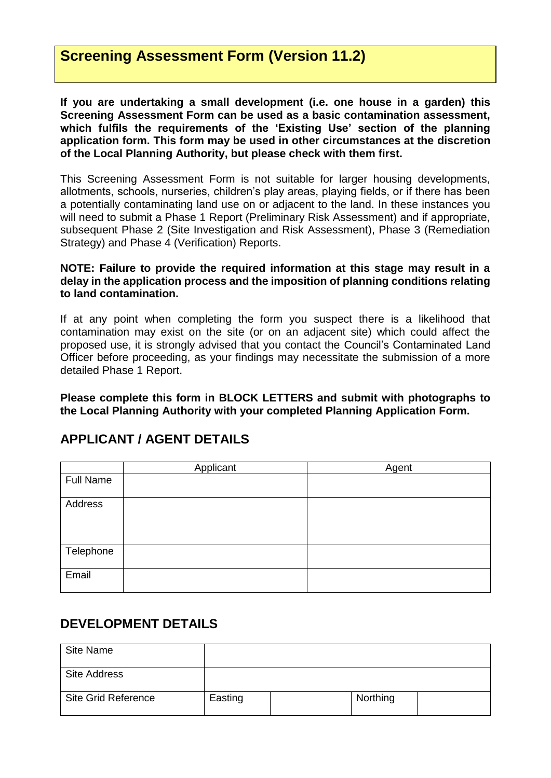### **Screening Assessment Form (Version 11.2)**

**If you are undertaking a small development (i.e. one house in a garden) this Screening Assessment Form can be used as a basic contamination assessment, which fulfils the requirements of the 'Existing Use' section of the planning application form. This form may be used in other circumstances at the discretion of the Local Planning Authority, but please check with them first.**

This Screening Assessment Form is not suitable for larger housing developments, allotments, schools, nurseries, children's play areas, playing fields, or if there has been a potentially contaminating land use on or adjacent to the land. In these instances you will need to submit a Phase 1 Report (Preliminary Risk Assessment) and if appropriate, subsequent Phase 2 (Site Investigation and Risk Assessment), Phase 3 (Remediation Strategy) and Phase 4 (Verification) Reports.

#### **NOTE: Failure to provide the required information at this stage may result in a delay in the application process and the imposition of planning conditions relating to land contamination.**

If at any point when completing the form you suspect there is a likelihood that contamination may exist on the site (or on an adjacent site) which could affect the proposed use, it is strongly advised that you contact the Council's Contaminated Land Officer before proceeding, as your findings may necessitate the submission of a more detailed Phase 1 Report.

**Please complete this form in BLOCK LETTERS and submit with photographs to the Local Planning Authority with your completed Planning Application Form.** 

|                  | Applicant | Agent |
|------------------|-----------|-------|
| <b>Full Name</b> |           |       |
| Address          |           |       |
| Telephone        |           |       |
| Email            |           |       |

#### **APPLICANT / AGENT DETAILS**

#### **DEVELOPMENT DETAILS**

| <b>Site Name</b>           |         |          |  |
|----------------------------|---------|----------|--|
| <b>Site Address</b>        |         |          |  |
| <b>Site Grid Reference</b> | Easting | Northing |  |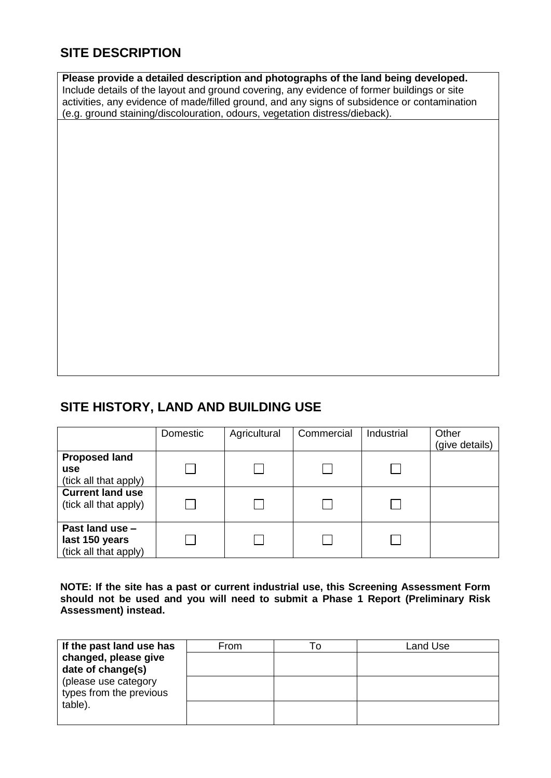## **SITE DESCRIPTION**

**Please provide a detailed description and photographs of the land being developed.**  Include details of the layout and ground covering, any evidence of former buildings or site activities, any evidence of made/filled ground, and any signs of subsidence or contamination (e.g. ground staining/discolouration, odours, vegetation distress/dieback).

#### **SITE HISTORY, LAND AND BUILDING USE**

|                                                             | Domestic | Agricultural | Commercial | Industrial | Other<br>(give details) |
|-------------------------------------------------------------|----------|--------------|------------|------------|-------------------------|
| <b>Proposed land</b><br><b>use</b><br>(tick all that apply) |          |              |            |            |                         |
| <b>Current land use</b><br>(tick all that apply)            |          |              |            |            |                         |
| Past land use -<br>last 150 years<br>(tick all that apply)  |          |              |            |            |                         |

**NOTE: If the site has a past or current industrial use, this Screening Assessment Form should not be used and you will need to submit a Phase 1 Report (Preliminary Risk Assessment) instead.**

| If the past land use has                        | From | ്0 | Land Use |
|-------------------------------------------------|------|----|----------|
| changed, please give<br>date of change(s)       |      |    |          |
| (please use category<br>types from the previous |      |    |          |
| table).                                         |      |    |          |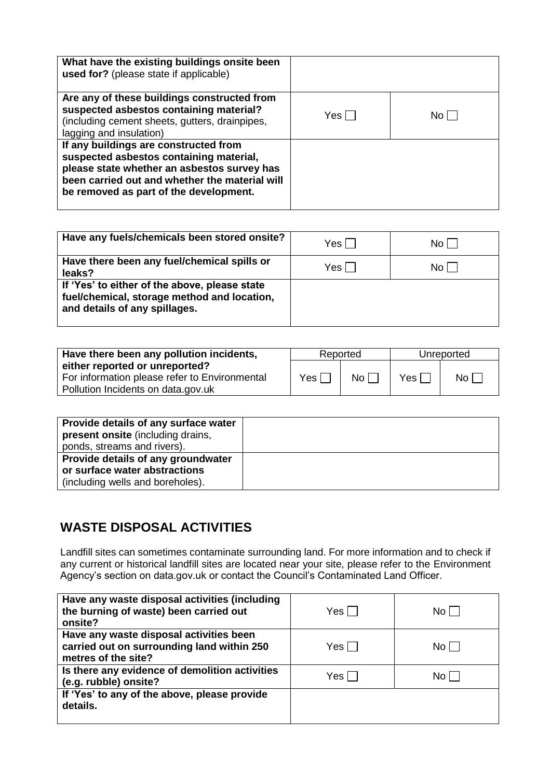| What have the existing buildings onsite been<br>used for? (please state if applicable)                                                                                                                                      |       |      |
|-----------------------------------------------------------------------------------------------------------------------------------------------------------------------------------------------------------------------------|-------|------|
| Are any of these buildings constructed from<br>suspected asbestos containing material?<br>(including cement sheets, gutters, drainpipes,<br>lagging and insulation)                                                         | Yes I | No L |
| If any buildings are constructed from<br>suspected asbestos containing material,<br>please state whether an asbestos survey has<br>been carried out and whether the material will<br>be removed as part of the development. |       |      |

| Have any fuels/chemicals been stored onsite?                                                                                  | Yes l | No L |
|-------------------------------------------------------------------------------------------------------------------------------|-------|------|
| Have there been any fuel/chemical spills or<br>leaks?                                                                         | Yes l | No l |
| If 'Yes' to either of the above, please state<br>fuel/chemical, storage method and location,<br>and details of any spillages. |       |      |

| Have there been any pollution incidents,                                                                              | Reported |      | Unreported |      |
|-----------------------------------------------------------------------------------------------------------------------|----------|------|------------|------|
| either reported or unreported?<br>For information please refer to Environmental<br>Pollution Incidents on data.gov.uk | Yes 「    | No l | Yes        | No L |

| Provide details of any surface water<br>present onsite (including drains, |  |
|---------------------------------------------------------------------------|--|
| ponds, streams and rivers).                                               |  |
| Provide details of any groundwater                                        |  |
| or surface water abstractions                                             |  |
| (including wells and boreholes).                                          |  |

### **WASTE DISPOSAL ACTIVITIES**

Landfill sites can sometimes contaminate surrounding land. For more information and to check if any current or historical landfill sites are located near your site, please refer to the Environment Agency's section on data.gov.uk or contact the Council's Contaminated Land Officer.

| Have any waste disposal activities (including<br>the burning of waste) been carried out<br>onsite?           | Yes [ | $No$ $\vert$   |
|--------------------------------------------------------------------------------------------------------------|-------|----------------|
| Have any waste disposal activities been<br>carried out on surrounding land within 250<br>metres of the site? | Yes   | $No$ $\vert$   |
| Is there any evidence of demolition activities<br>(e.g. rubble) onsite?                                      | Yes l | No <sup></sup> |
| If 'Yes' to any of the above, please provide<br>details.                                                     |       |                |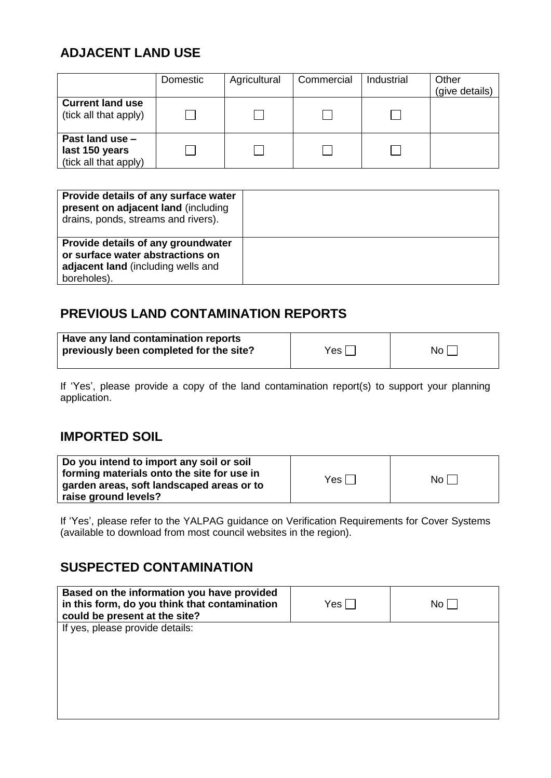# **ADJACENT LAND USE**

|                                                            | Domestic | Agricultural | Commercial | Industrial | Other<br>(give details) |
|------------------------------------------------------------|----------|--------------|------------|------------|-------------------------|
| <b>Current land use</b><br>(tick all that apply)           |          |              |            |            |                         |
| Past land use -<br>last 150 years<br>(tick all that apply) |          |              |            |            |                         |

| Provide details of any surface water<br>present on adjacent land (including<br>drains, ponds, streams and rivers).          |  |
|-----------------------------------------------------------------------------------------------------------------------------|--|
| Provide details of any groundwater<br>or surface water abstractions on<br>adjacent land (including wells and<br>boreholes). |  |

## **PREVIOUS LAND CONTAMINATION REPORTS**

| Have any land contamination reports     |       |                 |
|-----------------------------------------|-------|-----------------|
| previously been completed for the site? | Yes I | No <sub>1</sub> |
|                                         |       |                 |

If 'Yes', please provide a copy of the land contamination report(s) to support your planning application.

### **IMPORTED SOIL**

| raise ground levels? |
|----------------------|
|----------------------|

If 'Yes', please refer to the YALPAG guidance on Verification Requirements for Cover Systems (available to download from most council websites in the region).

### **SUSPECTED CONTAMINATION**

| Based on the information you have provided<br>in this form, do you think that contamination<br>could be present at the site? | Yes | No |
|------------------------------------------------------------------------------------------------------------------------------|-----|----|
| If yes, please provide details:                                                                                              |     |    |
|                                                                                                                              |     |    |
|                                                                                                                              |     |    |
|                                                                                                                              |     |    |
|                                                                                                                              |     |    |
|                                                                                                                              |     |    |
|                                                                                                                              |     |    |
|                                                                                                                              |     |    |